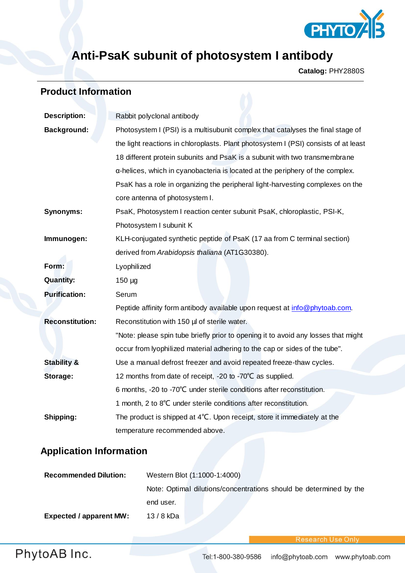

# **Anti-PsaK subunit of photosystem I antibody**

**Catalog:** PHY2880S

## **Product Information**

| <b>Description:</b>    | Rabbit polyclonal antibody                                                            |
|------------------------|---------------------------------------------------------------------------------------|
| <b>Background:</b>     | Photosystem I (PSI) is a multisubunit complex that catalyses the final stage of       |
|                        | the light reactions in chloroplasts. Plant photosystem I (PSI) consists of at least   |
|                        | 18 different protein subunits and PsaK is a subunit with two transmembrane            |
|                        | $\alpha$ -helices, which in cyanobacteria is located at the periphery of the complex. |
|                        | PsaK has a role in organizing the peripheral light-harvesting complexes on the        |
|                        | core antenna of photosystem I.                                                        |
| <b>Synonyms:</b>       | PsaK, Photosystem I reaction center subunit PsaK, chloroplastic, PSI-K,               |
|                        | Photosystem I subunit K                                                               |
| Immunogen:             | KLH-conjugated synthetic peptide of PsaK (17 aa from C terminal section)              |
|                        | derived from Arabidopsis thaliana (AT1G30380).                                        |
| Form:                  | Lyophilized                                                                           |
| <b>Quantity:</b>       | $150 \mu g$                                                                           |
| <b>Purification:</b>   | Serum                                                                                 |
|                        | Peptide affinity form antibody available upon request at info@phytoab.com.            |
| <b>Reconstitution:</b> | Reconstitution with 150 µl of sterile water.                                          |
|                        | "Note: please spin tube briefly prior to opening it to avoid any losses that might    |
|                        | occur from lyophilized material adhering to the cap or sides of the tube".            |
| <b>Stability &amp;</b> | Use a manual defrost freezer and avoid repeated freeze-thaw cycles.                   |
| Storage:               | 12 months from date of receipt, -20 to -70°C as supplied.                             |
|                        | 6 months, -20 to -70°C under sterile conditions after reconstitution.                 |
|                        | 1 month, 2 to 8°C under sterile conditions after reconstitution.                      |
| Shipping:              | The product is shipped at 4°C. Upon receipt, store it immediately at the              |
|                        | temperature recommended above.                                                        |

# **Application Information**

| <b>Recommended Dilution:</b>   | Western Blot (1:1000-1:4000)                                       |
|--------------------------------|--------------------------------------------------------------------|
|                                | Note: Optimal dilutions/concentrations should be determined by the |
|                                | end user.                                                          |
| <b>Expected / apparent MW:</b> | 13 / 8 kDa                                                         |

**Research Use Only**